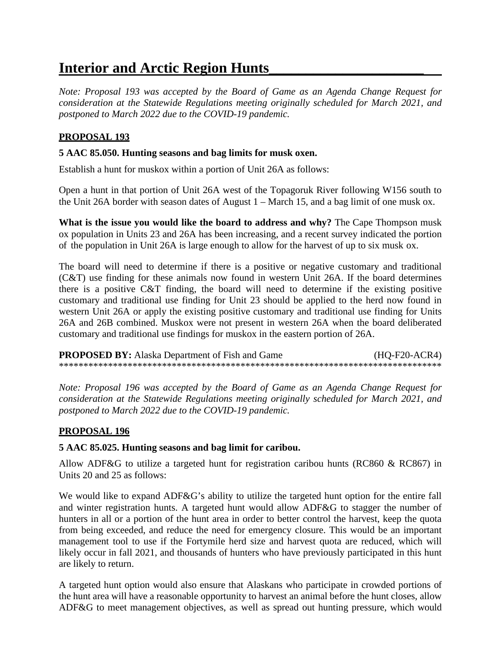# **Interior and Arctic Region Hunts\_\_\_\_\_\_\_\_\_\_\_\_\_\_\_\_\_\_\_\_\_**

*Note: Proposal 193 was accepted by the Board of Game as an Agenda Change Request for consideration at the Statewide Regulations meeting originally scheduled for March 2021, and postponed to March 2022 due to the COVID-19 pandemic.* 

## **PROPOSAL 193**

#### **5 AAC 85.050. Hunting seasons and bag limits for musk oxen.**

Establish a hunt for muskox within a portion of Unit 26A as follows:

 the Unit 26A border with season dates of August 1 – March 15, and a bag limit of one musk ox. Open a hunt in that portion of Unit 26A west of the Topagoruk River following W156 south to

 of the population in Unit 26A is large enough to allow for the harvest of up to six musk ox. **What is the issue you would like the board to address and why?** The Cape Thompson musk ox population in Units 23 and 26A has been increasing, and a recent survey indicated the portion

 there is a positive C&T finding, the board will need to determine if the existing positive customary and traditional use findings for muskox in the eastern portion of 26A. The board will need to determine if there is a positive or negative customary and traditional (C&T) use finding for these animals now found in western Unit 26A. If the board determines customary and traditional use finding for Unit 23 should be applied to the herd now found in western Unit 26A or apply the existing positive customary and traditional use finding for Units 26A and 26B combined. Muskox were not present in western 26A when the board deliberated

**PROPOSED BY:** Alaska Department of Fish and Game (HQ-F20-ACR4) \*\*\*\*\*\*\*\*\*\*\*\*\*\*\*\*\*\*\*\*\*\*\*\*\*\*\*\*\*\*\*\*\*\*\*\*\*\*\*\*\*\*\*\*\*\*\*\*\*\*\*\*\*\*\*\*\*\*\*\*\*\*\*\*\*\*\*\*\*\*\*\*\*\*\*\*\*\*

*Note: Proposal 196 was accepted by the Board of Game as an Agenda Change Request for consideration at the Statewide Regulations meeting originally scheduled for March 2021, and postponed to March 2022 due to the COVID-19 pandemic.* 

### **PROPOSAL 196**

#### **5 AAC 85.025. Hunting seasons and bag limit for caribou.**

Allow ADF&G to utilize a targeted hunt for registration caribou hunts (RC860 & RC867) in Units 20 and 25 as follows:

We would like to expand ADF&G's ability to utilize the targeted hunt option for the entire fall and winter registration hunts. A targeted hunt would allow ADF&G to stagger the number of hunters in all or a portion of the hunt area in order to better control the harvest, keep the quota from being exceeded, and reduce the need for emergency closure. This would be an important management tool to use if the Fortymile herd size and harvest quota are reduced, which will likely occur in fall 2021, and thousands of hunters who have previously participated in this hunt are likely to return.

 the hunt area will have a reasonable opportunity to harvest an animal before the hunt closes, allow A targeted hunt option would also ensure that Alaskans who participate in crowded portions of ADF&G to meet management objectives, as well as spread out hunting pressure, which would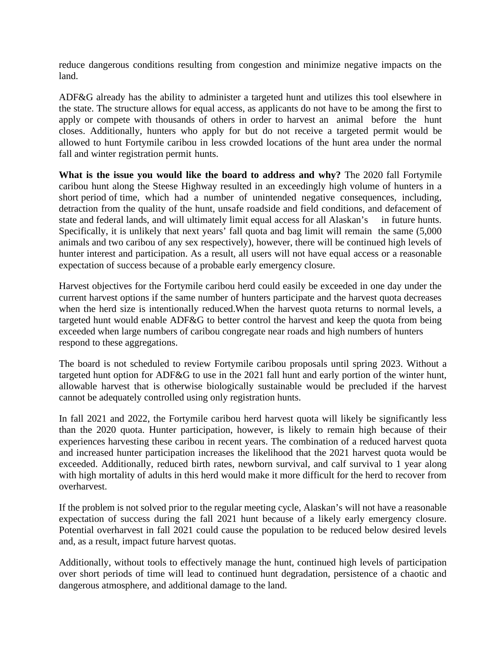reduce dangerous conditions resulting from congestion and minimize negative impacts on the land.

ADF&G already has the ability to administer a targeted hunt and utilizes this tool elsewhere in the state. The structure allows for equal access, as applicants do not have to be among the first to apply or compete with thousands of others in order to harvest an animal before the hunt closes. Additionally, hunters who apply for but do not receive a targeted permit would be allowed to hunt Fortymile caribou in less crowded locations of the hunt area under the normal fall and winter registration permit hunts.

 **What is the issue you would like the board to address and why?** The 2020 fall Fortymile short period of time, which had a number of unintended negative consequences, including, detraction from the quality of the hunt, unsafe roadside and field conditions, and defacement of state and federal lands, and will ultimately limit equal access for all Alaskan's in future hunts. hunter interest and participation. As a result, all users will not have equal access or a reasonable caribou hunt along the Steese Highway resulted in an exceedingly high volume of hunters in a Specifically, it is unlikely that next years' fall quota and bag limit will remain the same (5,000 animals and two caribou of any sex respectively), however, there will be continued high levels of expectation of success because of a probable early emergency closure.

Harvest objectives for the Fortymile caribou herd could easily be exceeded in one day under the current harvest options if the same number of hunters participate and the harvest quota decreases when the herd size is intentionally reduced.When the harvest quota returns to normal levels, a targeted hunt would enable ADF&G to better control the harvest and keep the quota from being exceeded when large numbers of caribou congregate near roads and high numbers of hunters respond to these aggregations.

 targeted hunt option for ADF&G to use in the 2021 fall hunt and early portion of the winter hunt, The board is not scheduled to review Fortymile caribou proposals until spring 2023. Without a allowable harvest that is otherwise biologically sustainable would be precluded if the harvest cannot be adequately controlled using only registration hunts.

 exceeded. Additionally, reduced birth rates, newborn survival, and calf survival to 1 year along In fall 2021 and 2022, the Fortymile caribou herd harvest quota will likely be significantly less than the 2020 quota. Hunter participation, however, is likely to remain high because of their experiences harvesting these caribou in recent years. The combination of a reduced harvest quota and increased hunter participation increases the likelihood that the 2021 harvest quota would be with high mortality of adults in this herd would make it more difficult for the herd to recover from overharvest.

 If the problem is not solved prior to the regular meeting cycle, Alaskan's will not have a reasonable expectation of success during the fall 2021 hunt because of a likely early emergency closure. Potential overharvest in fall 2021 could cause the population to be reduced below desired levels and, as a result, impact future harvest quotas.

Additionally, without tools to effectively manage the hunt, continued high levels of participation over short periods of time will lead to continued hunt degradation, persistence of a chaotic and dangerous atmosphere, and additional damage to the land.